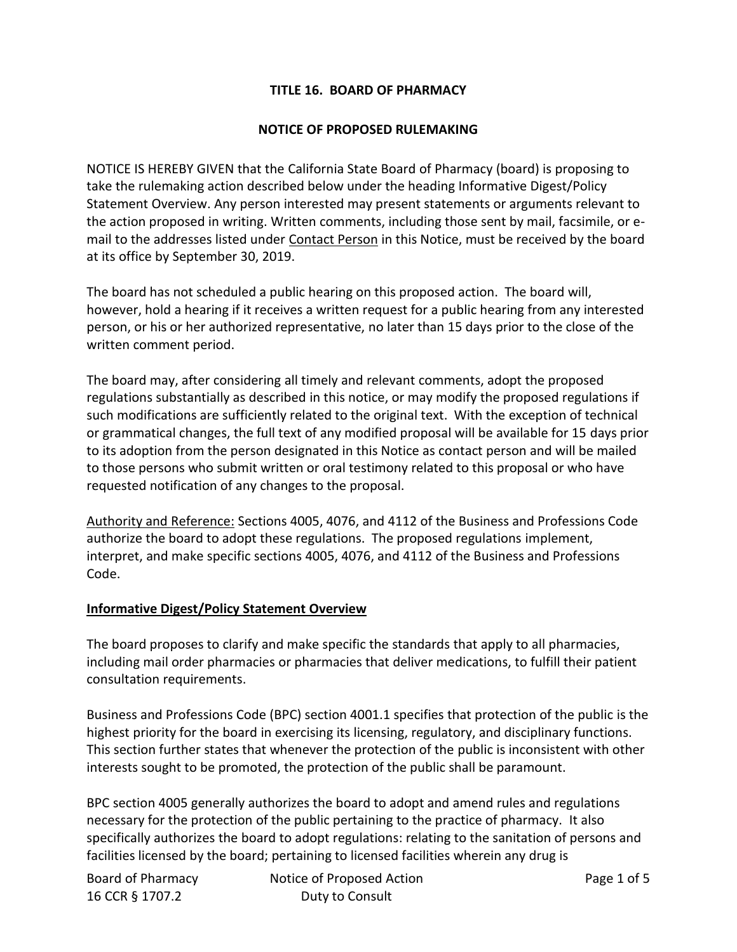# **TITLE 16. BOARD OF PHARMACY**

## **NOTICE OF PROPOSED RULEMAKING**

NOTICE IS HEREBY GIVEN that the California State Board of Pharmacy (board) is proposing to take the rulemaking action described below under the heading Informative Digest/Policy Statement Overview. Any person interested may present statements or arguments relevant to the action proposed in writing. Written comments, including those sent by mail, facsimile, or email to the addresses listed under Contact Person in this Notice, must be received by the board at its office by September 30, 2019.

The board has not scheduled a public hearing on this proposed action. The board will, however, hold a hearing if it receives a written request for a public hearing from any interested person, or his or her authorized representative, no later than 15 days prior to the close of the written comment period.

The board may, after considering all timely and relevant comments, adopt the proposed regulations substantially as described in this notice, or may modify the proposed regulations if such modifications are sufficiently related to the original text. With the exception of technical or grammatical changes, the full text of any modified proposal will be available for 15 days prior to its adoption from the person designated in this Notice as contact person and will be mailed to those persons who submit written or oral testimony related to this proposal or who have requested notification of any changes to the proposal.

Authority and Reference: Sections 4005, 4076, and 4112 of the Business and Professions Code authorize the board to adopt these regulations. The proposed regulations implement, interpret, and make specific sections 4005, 4076, and 4112 of the Business and Professions Code.

## **Informative Digest/Policy Statement Overview**

The board proposes to clarify and make specific the standards that apply to all pharmacies, including mail order pharmacies or pharmacies that deliver medications, to fulfill their patient consultation requirements.

Business and Professions Code (BPC) section 4001.1 specifies that protection of the public is the highest priority for the board in exercising its licensing, regulatory, and disciplinary functions. This section further states that whenever the protection of the public is inconsistent with other interests sought to be promoted, the protection of the public shall be paramount.

BPC section 4005 generally authorizes the board to adopt and amend rules and regulations necessary for the protection of the public pertaining to the practice of pharmacy. It also specifically authorizes the board to adopt regulations: relating to the sanitation of persons and facilities licensed by the board; pertaining to licensed facilities wherein any drug is

| Board of Pharmacy | Notice of Proposed Action |
|-------------------|---------------------------|
| 16 CCR § 1707.2   | Duty to Consult           |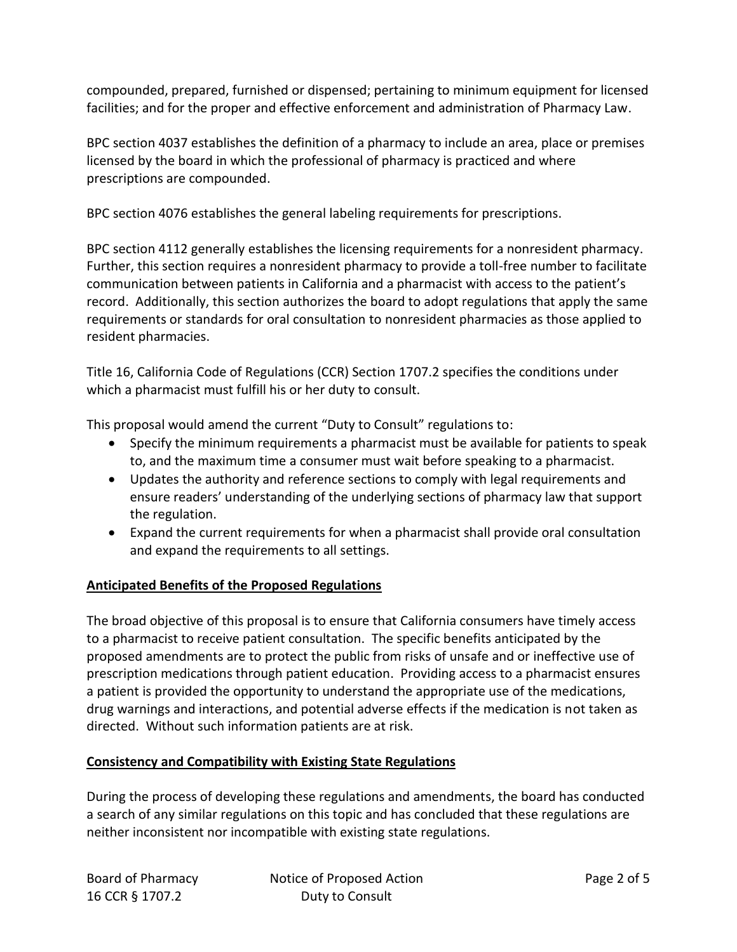compounded, prepared, furnished or dispensed; pertaining to minimum equipment for licensed facilities; and for the proper and effective enforcement and administration of Pharmacy Law.

BPC section 4037 establishes the definition of a pharmacy to include an area, place or premises licensed by the board in which the professional of pharmacy is practiced and where prescriptions are compounded.

BPC section 4076 establishes the general labeling requirements for prescriptions.

BPC section 4112 generally establishes the licensing requirements for a nonresident pharmacy. Further, this section requires a nonresident pharmacy to provide a toll-free number to facilitate communication between patients in California and a pharmacist with access to the patient's record. Additionally, this section authorizes the board to adopt regulations that apply the same requirements or standards for oral consultation to nonresident pharmacies as those applied to resident pharmacies.

Title 16, California Code of Regulations (CCR) Section 1707.2 specifies the conditions under which a pharmacist must fulfill his or her duty to consult.

This proposal would amend the current "Duty to Consult" regulations to:

- Specify the minimum requirements a pharmacist must be available for patients to speak to, and the maximum time a consumer must wait before speaking to a pharmacist.
- Updates the authority and reference sections to comply with legal requirements and ensure readers' understanding of the underlying sections of pharmacy law that support the regulation.
- Expand the current requirements for when a pharmacist shall provide oral consultation and expand the requirements to all settings.

## **Anticipated Benefits of the Proposed Regulations**

The broad objective of this proposal is to ensure that California consumers have timely access to a pharmacist to receive patient consultation. The specific benefits anticipated by the proposed amendments are to protect the public from risks of unsafe and or ineffective use of prescription medications through patient education. Providing access to a pharmacist ensures a patient is provided the opportunity to understand the appropriate use of the medications, drug warnings and interactions, and potential adverse effects if the medication is not taken as directed. Without such information patients are at risk.

## **Consistency and Compatibility with Existing State Regulations**

During the process of developing these regulations and amendments, the board has conducted a search of any similar regulations on this topic and has concluded that these regulations are neither inconsistent nor incompatible with existing state regulations.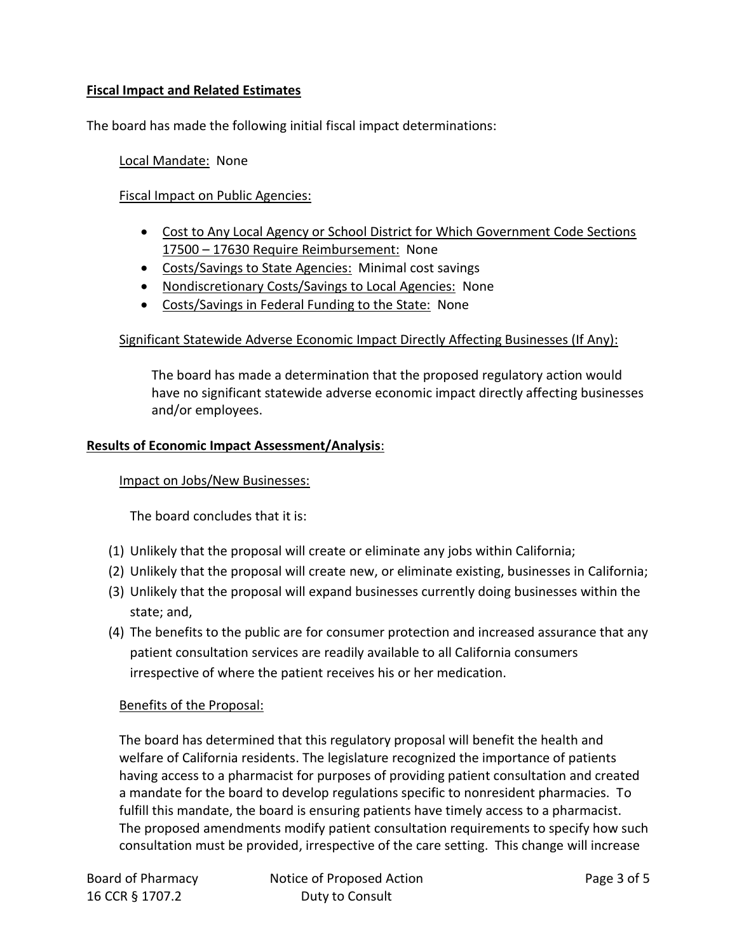# **Fiscal Impact and Related Estimates**

The board has made the following initial fiscal impact determinations:

#### Local Mandate: None

## Fiscal Impact on Public Agencies:

- Cost to Any Local Agency or School District for Which Government Code Sections 17500 – 17630 Require Reimbursement: None
- Costs/Savings to State Agencies: Minimal cost savings
- Nondiscretionary Costs/Savings to Local Agencies: None
- Costs/Savings in Federal Funding to the State: None

# Significant Statewide Adverse Economic Impact Directly Affecting Businesses (If Any):

The board has made a determination that the proposed regulatory action would have no significant statewide adverse economic impact directly affecting businesses and/or employees.

## **Results of Economic Impact Assessment/Analysis**:

## Impact on Jobs/New Businesses:

The board concludes that it is:

- (1) Unlikely that the proposal will create or eliminate any jobs within California;
- (2) Unlikely that the proposal will create new, or eliminate existing, businesses in California;
- (3) Unlikely that the proposal will expand businesses currently doing businesses within the state; and,
- (4) The benefits to the public are for consumer protection and increased assurance that any patient consultation services are readily available to all California consumers irrespective of where the patient receives his or her medication.

## Benefits of the Proposal:

The board has determined that this regulatory proposal will benefit the health and welfare of California residents. The legislature recognized the importance of patients having access to a pharmacist for purposes of providing patient consultation and created a mandate for the board to develop regulations specific to nonresident pharmacies. To fulfill this mandate, the board is ensuring patients have timely access to a pharmacist. The proposed amendments modify patient consultation requirements to specify how such consultation must be provided, irrespective of the care setting. This change will increase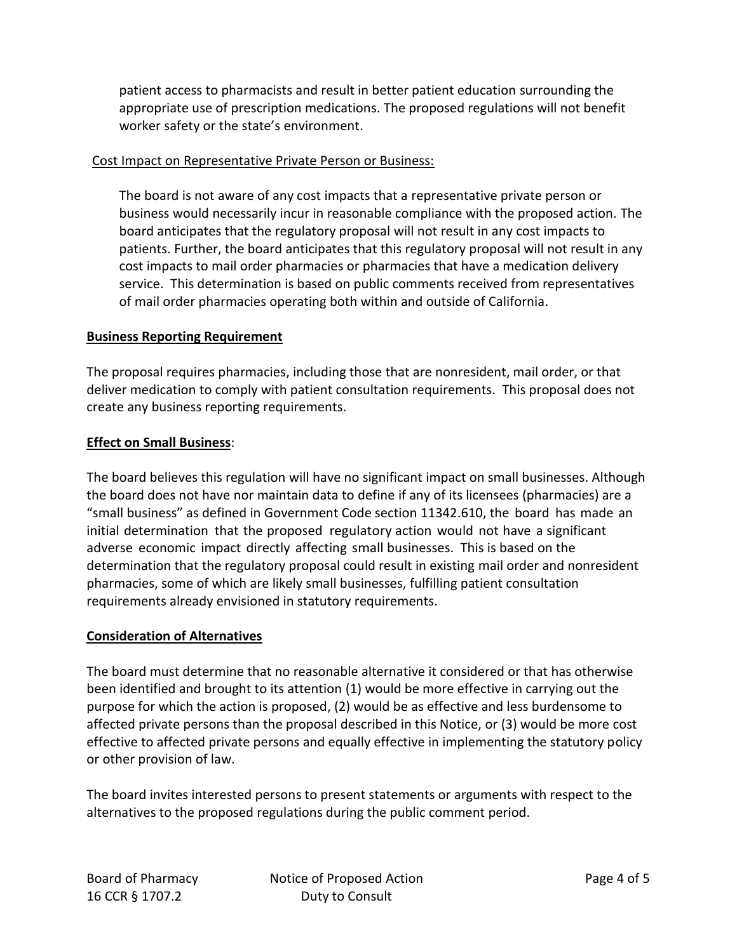patient access to pharmacists and result in better patient education surrounding the appropriate use of prescription medications. The proposed regulations will not benefit worker safety or the state's environment.

#### Cost Impact on Representative Private Person or Business:

The board is not aware of any cost impacts that a representative private person or business would necessarily incur in reasonable compliance with the proposed action. The board anticipates that the regulatory proposal will not result in any cost impacts to patients. Further, the board anticipates that this regulatory proposal will not result in any cost impacts to mail order pharmacies or pharmacies that have a medication delivery service. This determination is based on public comments received from representatives of mail order pharmacies operating both within and outside of California.

## **Business Reporting Requirement**

The proposal requires pharmacies, including those that are nonresident, mail order, or that deliver medication to comply with patient consultation requirements. This proposal does not create any business reporting requirements.

# **Effect on Small Business**:

The board believes this regulation will have no significant impact on small businesses. Although the board does not have nor maintain data to define if any of its licensees (pharmacies) are a "small business" as defined in Government Code section 11342.610, the board has made an initial determination that the proposed regulatory action would not have a significant adverse economic impact directly affecting small businesses. This is based on the determination that the regulatory proposal could result in existing mail order and nonresident pharmacies, some of which are likely small businesses, fulfilling patient consultation requirements already envisioned in statutory requirements.

## **Consideration of Alternatives**

The board must determine that no reasonable alternative it considered or that has otherwise been identified and brought to its attention (1) would be more effective in carrying out the purpose for which the action is proposed, (2) would be as effective and less burdensome to affected private persons than the proposal described in this Notice, or (3) would be more cost effective to affected private persons and equally effective in implementing the statutory policy or other provision of law.

The board invites interested persons to present statements or arguments with respect to the alternatives to the proposed regulations during the public comment period.